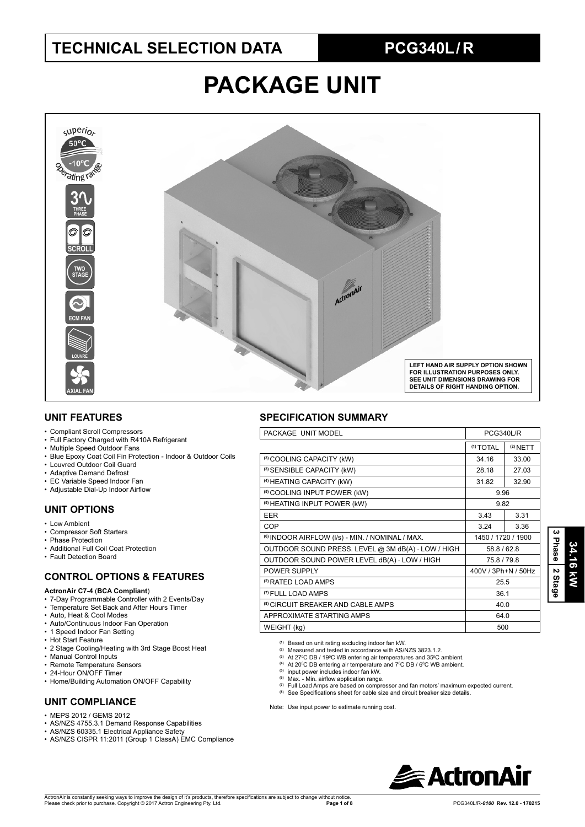## **TECHNICAL SELECTION DATA PCG340L / R**

# **PACKAGE UNIT**



### **UNIT FEATURES**

- Compliant Scroll Compressors
- Full Factory Charged with R410A Refrigerant
- Multiple Speed Outdoor Fans
- Blue Epoxy Coat Coil Fin Protection Indoor & Outdoor Coils
- Louvred Outdoor Coil Guard
- Adaptive Demand Defrost
- EC Variable Speed Indoor Fan
- Adjustable Dial-Up Indoor Airflow

## **UNIT OPTIONS**

- Low Ambient
- Compressor Soft Starters
- Phase Protection • Additional Full Coil Coat Protection
- Fault Detection Board

## **CONTROL OPTIONS & FEATURES**

### **ActronAir C7-4** (**BCA Compliant**)

- 7-Day Programmable Controller with 2 Events/Day
- Temperature Set Back and After Hours Timer
- Auto, Heat & Cool Modes
- Auto/Continuous Indoor Fan Operation
- 1 Speed Indoor Fan Setting
- Hot Start Feature
- 2 Stage Cooling/Heating with 3rd Stage Boost Heat
- Manual Control Inputs
- Remote Temperature Sensors
- 24-Hour ON/OFF Timer
- Home/Building Automation ON/OFF Capability

## **UNIT COMPLIANCE**

- MEPS 2012 / GEMS 2012
- AS/NZS 4755.3.1 Demand Response Capabilities
- AS/NZS 60335.1 Electrical Appliance Safety
- AS/NZS CISPR 11:2011 (Group 1 ClassA) EMC Compliance

### **SPECIFICATION SUMMARY**

| PACKAGE UNIT MODEL                                          | PCG340L/R            |                    |  |  |
|-------------------------------------------------------------|----------------------|--------------------|--|--|
|                                                             | <sup>(1)</sup> TOTAL | $(2)$ NETT         |  |  |
| (3) COOLING CAPACITY (kW)                                   | 34.16                | 33.00              |  |  |
| (3) SENSIBLE CAPACITY (kW)                                  | 28.18                | 27.03              |  |  |
| (4) HEATING CAPACITY (kW)                                   | 31.82                | 32.90              |  |  |
| <sup>(5)</sup> COOLING INPUT POWER (kW)                     | 9.96                 |                    |  |  |
| <sup>(5)</sup> HEATING INPUT POWER (kW)                     | 9.82                 |                    |  |  |
| <b>EER</b>                                                  | 3.43                 | 3.31               |  |  |
| <b>COP</b>                                                  | 3.24                 | 3.36               |  |  |
| <sup>(6)</sup> INDOOR AIRFLOW (I/s) - MIN. / NOMINAL / MAX. |                      | 1450 / 1720 / 1900 |  |  |
| OUTDOOR SOUND PRESS. LEVEL @ 3M dB(A) - LOW / HIGH          | 58.8 / 62.8          |                    |  |  |
| OUTDOOR SOUND POWER LEVEL dB(A) - LOW / HIGH                | 75.8/79.8            |                    |  |  |
| POWER SUPPLY                                                | 400V / 3Ph+N / 50Hz  |                    |  |  |
| <sup>(2)</sup> RATED LOAD AMPS                              | 25.5                 |                    |  |  |
| (7) FULL LOAD AMPS                                          | 36.1                 |                    |  |  |
| <sup>(8)</sup> CIRCUIT BREAKER AND CABLE AMPS               | 40.0                 |                    |  |  |
| APPROXIMATE STARTING AMPS<br>64.0                           |                      |                    |  |  |
| WEIGHT (kg)                                                 | 500                  |                    |  |  |

**(1)** Based on unit rating excluding indoor fan kW. **(2)** Measured and tested in accordance with AS/NZS 3823.1.2.

- 
- <sup>(3)</sup> At 27<sup>o</sup>C DB / 19<sup>o</sup>C WB entering air temperatures and 35<sup>o</sup>C ambient.<br><sup>(4)</sup> At 20<sup>o</sup>C DB entering air temperature and 7<sup>o</sup>C DB / 6<sup>o</sup>C WB ambient.
- **(5)** input power includes indoor fan kW.
- Max. Min. airflow application range.
- **(7)** Full Load Amps are based on compressor and fan motors' maximum expected current.
- See Specifications sheet for cable size and circuit breaker size details.

Note: Use input power to estimate running cost.

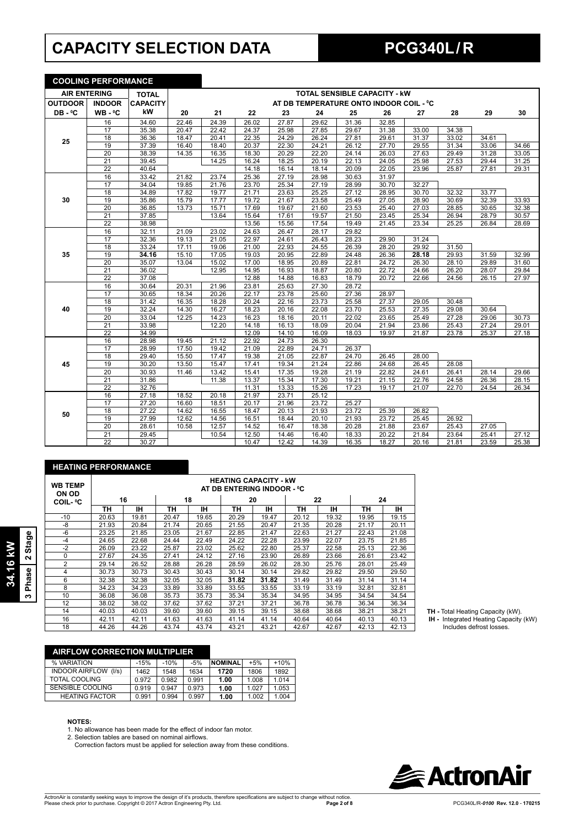## **CAPACITY SELECTION DATA PCG340L / R**

**COOLING PERFORMANCE**

|                     | <u>UUULING PERFURMANUE</u> |                 |       |       |       |       |       |                                         |       |       |       |       |       |
|---------------------|----------------------------|-----------------|-------|-------|-------|-------|-------|-----------------------------------------|-------|-------|-------|-------|-------|
| <b>AIR ENTERING</b> |                            | <b>TOTAL</b>    |       |       |       |       |       | <b>TOTAL SENSIBLE CAPACITY - KW</b>     |       |       |       |       |       |
| <b>OUTDOOR</b>      | <b>INDOOR</b>              | <b>CAPACITY</b> |       |       |       |       |       | AT DB TEMPERATURE ONTO INDOOR COIL - °C |       |       |       |       |       |
| DB-°C               | $WB - C$                   | kW              | 20    | 21    | 22    | 23    | 24    | 25                                      | 26    | 27    | 28    | 29    | 30    |
|                     | 16                         | 34.60           | 22.46 | 24.39 | 26.02 | 27.87 | 29.62 | 31.36                                   | 32.85 |       |       |       |       |
|                     | 17                         | 35.38           | 20.47 | 22.42 | 24.37 | 25.98 | 27.85 | 29.67                                   | 31.38 | 33.00 | 34.38 |       |       |
| 25                  | 18                         | 36.36           | 18.47 | 20.41 | 22.35 | 24.29 | 26.24 | 27.81                                   | 29.61 | 31.37 | 33.02 | 34.61 |       |
|                     | 19                         | 37.39           | 16.40 | 18.40 | 20.37 | 22.30 | 24.21 | 26.12                                   | 27.70 | 29.55 | 31.34 | 33.06 | 34.66 |
|                     | $\overline{20}$            | 38.39           | 14.35 | 16.35 | 18.30 | 20.29 | 22.20 | 24.14                                   | 26.03 | 27.63 | 29.49 | 31.28 | 33.05 |
|                     | $\overline{21}$            | 39.45           |       | 14.25 | 16.24 | 18.25 | 20.19 | 22.13                                   | 24.05 | 25.98 | 27.53 | 29.44 | 31.25 |
|                     | $\overline{22}$            | 40.64           |       |       | 14.18 | 16.14 | 18.14 | 20.09                                   | 22.05 | 23.96 | 25.87 | 27.81 | 29.31 |
|                     | 16                         | 33.42           | 21.82 | 23.74 | 25.36 | 27.19 | 28.98 | 30.63                                   | 31.97 |       |       |       |       |
|                     | 17                         | 34.04           | 19.85 | 21.76 | 23.70 | 25.34 | 27.19 | 28.99                                   | 30.70 | 32.27 |       |       |       |
|                     | $\overline{18}$            | 34.89           | 17.82 | 19.77 | 21.71 | 23.63 | 25.25 | 27.12                                   | 28.95 | 30.70 | 32.32 | 33.77 |       |
| 30                  | 19                         | 35.86           | 15.79 | 17.77 | 19.72 | 21.67 | 23.58 | 25.49                                   | 27.05 | 28.90 | 30.69 | 32.39 | 33.93 |
|                     | $\overline{20}$            | 36.85           | 13.73 | 15.71 | 17.69 | 19.67 | 21.60 | 23.53                                   | 25.40 | 27.03 | 28.85 | 30.65 | 32.38 |
|                     | 21                         | 37.85           |       | 13.64 | 15.64 | 17.61 | 19.57 | 21.50                                   | 23.45 | 25.34 | 26.94 | 28.79 | 30.57 |
|                     | $\overline{22}$            | 38.98           |       |       | 13.56 | 15.56 | 17.54 | 19.49                                   | 21.45 | 23.34 | 25.25 | 26.84 | 28.69 |
|                     | 16                         | 32.11           | 21.09 | 23.02 | 24.63 | 26.47 | 28.17 | 29.82                                   |       |       |       |       |       |
|                     | 17                         | 32.36           | 19.13 | 21.05 | 22.97 | 24.61 | 26.43 | 28.23                                   | 29.90 | 31.24 |       |       |       |
|                     | $\overline{18}$            | 33.24           | 17.11 | 19.06 | 21.00 | 22.93 | 24.55 | 26.39                                   | 28.20 | 29.92 | 31.50 |       |       |
| 35                  | 19                         | 34.16           | 15.10 | 17.05 | 19.03 | 20.95 | 22.89 | 24.48                                   | 26.36 | 28.18 | 29.93 | 31.59 | 32.99 |
|                     | 20                         | 35.07           | 13.04 | 15.02 | 17.00 | 18.95 | 20.89 | 22.81                                   | 24.72 | 26.30 | 28.10 | 29.89 | 31.60 |
|                     | 21                         | 36.02           |       | 12.95 | 14.95 | 16.93 | 18.87 | 20.80                                   | 22.72 | 24.66 | 26.20 | 28.07 | 29.84 |
|                     | $\overline{22}$            | 37.08           |       |       | 12.88 | 14.88 | 16.83 | 18.79                                   | 20.72 | 22.66 | 24.56 | 26.15 | 27.97 |
|                     | 16                         | 30.64           | 20.31 | 21.96 | 23.81 | 25.63 | 27.30 | 28.72                                   |       |       |       |       |       |
|                     | 17                         | 30.65           | 18.34 | 20.26 | 22.17 | 23.78 | 25.60 | 27.36                                   | 28.97 |       |       |       |       |
|                     | 18                         | 31.42           | 16.35 | 18.28 | 20.24 | 22.16 | 23.73 | 25.58                                   | 27.37 | 29.05 | 30.48 |       |       |
| 40                  | 19                         | 32.24           | 14.30 | 16.27 | 18.23 | 20.16 | 22.08 | 23.70                                   | 25.53 | 27.35 | 29.08 | 30.64 |       |
|                     | 20                         | 33.04           | 12.25 | 14.23 | 16.23 | 18.16 | 20.11 | 22.02                                   | 23.65 | 25.49 | 27.28 | 29.06 | 30.73 |
|                     | 21                         | 33.98           |       | 12.20 | 14.18 | 16.13 | 18.09 | 20.04                                   | 21.94 | 23.86 | 25.43 | 27.24 | 29.01 |
|                     | $\overline{22}$            | 34.99           |       |       | 12.09 | 14.10 | 16.09 | 18.03                                   | 19.97 | 21.87 | 23.78 | 25.37 | 27.18 |
|                     | 16                         | 28.98           | 19.45 | 21.12 | 22.92 | 24.73 | 26.30 |                                         |       |       |       |       |       |
|                     | $\overline{17}$            | 28.99           | 17.50 | 19.42 | 21.09 | 22.89 | 24.71 | 26.37                                   |       |       |       |       |       |
|                     | 18                         | 29.40           | 15.50 | 17.47 | 19.38 | 21.05 | 22.87 | 24.70                                   | 26.45 | 28.00 |       |       |       |
| 45                  | 19                         | 30.20           | 13.50 | 15.47 | 17.41 | 19.34 | 21.24 | 22.86                                   | 24.68 | 26.45 | 28.08 |       |       |
|                     | 20                         | 30.93           | 11.46 | 13.42 | 15.41 | 17.35 | 19.28 | 21.19                                   | 22.82 | 24.61 | 26.41 | 28.14 | 29.66 |
|                     | $\overline{21}$            | 31.86           |       | 11.38 | 13.37 | 15.34 | 17.30 | 19.21                                   | 21.15 | 22.76 | 24.58 | 26.36 | 28.15 |
|                     | $\overline{22}$            | 32.76           |       |       | 11.31 | 13.33 | 15.26 | 17.23                                   | 19.17 | 21.07 | 22.70 | 24.54 | 26.34 |
|                     | 16                         | 27.18           | 18.52 | 20.18 | 21.97 | 23.71 | 25.12 |                                         |       |       |       |       |       |
|                     | $\overline{17}$            | 27.20           | 16.60 | 18.51 | 20.17 | 21.96 | 23.72 | 25.27                                   |       |       |       |       |       |
| 50                  | 18                         | 27.22           | 14.62 | 16.55 | 18.47 | 20.13 | 21.93 | 23.72                                   | 25.39 | 26.82 |       |       |       |
|                     | 19                         | 27.99           | 12.62 | 14.56 | 16.51 | 18.44 | 20.10 | 21.93                                   | 23.72 | 25.45 | 26.92 |       |       |
|                     | 20                         | 28.61           | 10.58 | 12.57 | 14.52 | 16.47 | 18.38 | 20.28                                   | 21.88 | 23.67 | 25.43 | 27.05 |       |
|                     | $\overline{21}$            | 29.45           |       | 10.54 | 12.50 | 14.46 | 16.40 | 18.33                                   | 20.22 | 21.84 | 23.64 | 25.41 | 27.12 |
|                     | $\overline{22}$            | 30.27           |       |       | 10.47 | 12.42 | 14.39 | 16.35                                   | 18.27 | 20.16 | 21.81 | 23.59 | 25.38 |

## **HEATING PERFORMANCE**

| <b>WB TEMP</b><br>ON OD | <b>HEATING CAPACITY - kW</b><br>AT DB ENTERING INDOOR - °C |       |       |       |       |       |       |       |       |       |  |  |  |
|-------------------------|------------------------------------------------------------|-------|-------|-------|-------|-------|-------|-------|-------|-------|--|--|--|
| <b>COIL- ºC</b>         |                                                            | 16    |       | 18    |       | 20    |       | 22    | 24    |       |  |  |  |
|                         | ΤН                                                         | ıн    | ΤН    | ıн    | ΤН    | IΗ    | ΤН    | IΗ    | ΤН    | ıн    |  |  |  |
| $-10$                   | 20.63                                                      | 19.81 | 20.47 | 19.65 | 20.29 | 19.47 | 20.12 | 19.32 | 19.95 | 19.15 |  |  |  |
| -8                      | 21.93                                                      | 20.84 | 21.74 | 20.65 | 21.55 | 20.47 | 21.35 | 20.28 | 21.17 | 20.11 |  |  |  |
| -6                      | 23.25                                                      | 21.85 | 23.05 | 21.67 | 22.85 | 21.47 | 22.63 | 21.27 | 22.43 | 21.08 |  |  |  |
| $-4$                    | 24.65                                                      | 22.68 | 24.44 | 22.49 | 24.22 | 22.28 | 23.99 | 22.07 | 23.75 | 21.85 |  |  |  |
| $-2$                    | 26.09                                                      | 23.22 | 25.87 | 23.02 | 25.62 | 22.80 | 25.37 | 22.58 | 25.13 | 22.36 |  |  |  |
| $\Omega$                | 27.67                                                      | 24.35 | 27.41 | 24.12 | 27.16 | 23.90 | 26.89 | 23.66 | 26.61 | 23.42 |  |  |  |
| $\overline{2}$          | 29.14                                                      | 26.52 | 28.88 | 26.28 | 28.59 | 26.02 | 28.30 | 25.76 | 28.01 | 25.49 |  |  |  |
| 4                       | 30.73                                                      | 30.73 | 30.43 | 30.43 | 30.14 | 30.14 | 29.82 | 29.82 | 29.50 | 29.50 |  |  |  |
| 6                       | 32.38                                                      | 32.38 | 32.05 | 32.05 | 31.82 | 31.82 | 31.49 | 31.49 | 31.14 | 31.14 |  |  |  |
| 8                       | 34.23                                                      | 34.23 | 33.89 | 33.89 | 33.55 | 33.55 | 33.19 | 33.19 | 32.81 | 32.81 |  |  |  |
| 10                      | 36.08                                                      | 36.08 | 35.73 | 35.73 | 35.34 | 35.34 | 34.95 | 34.95 | 34.54 | 34.54 |  |  |  |
| 12                      | 38.02                                                      | 38.02 | 37.62 | 37.62 | 37.21 | 37.21 | 36.78 | 36.78 | 36.34 | 36.34 |  |  |  |
| 14                      | 40.03                                                      | 40.03 | 39.60 | 39.60 | 39.15 | 39.15 | 38.68 | 38.68 | 38.21 | 38.21 |  |  |  |
| 16                      | 42.11                                                      | 42.11 | 41.63 | 41.63 | 41.14 | 41.14 | 40.64 | 40.64 | 40.13 | 40.13 |  |  |  |
| 18                      | 44.26                                                      | 44.26 | 43.74 | 43.74 | 43.21 | 43.21 | 42.67 | 42.67 | 42.13 | 42.13 |  |  |  |

**TH -** Total Heating Capacity (kW).

 **IH -** Integrated Heating Capacity (kW) Includes defrost losses.

| <b>AIRFLOW CORRECTION MULTIPLIER</b> |        |        |       |                |       |        |
|--------------------------------------|--------|--------|-------|----------------|-------|--------|
| % VARIATION                          | $-15%$ | $-10%$ | $-5%$ | <b>NOMINAL</b> | $+5%$ | $+10%$ |
| INDOOR AIRFLOW (I/s)                 | 1462   | 1548   | 1634  | 1720           | 1806  | 1892   |
| TOTAL COOLING                        | 0.972  | 0.982  | 0.991 | 1.00           | 1.008 | 1.014  |
| SENSIBLE COOLING                     | 0.919  | 0.947  | 0.973 | 1.00           | 1.027 | 1.053  |

### **NOTES:**

1. No allowance has been made for the effect of indoor fan motor.<br>2. Selection tables are based on nominal airflows.

HEATING FACTOR 0.991 0.994 0.997 **1.00** 1.002 1.004

Correction factors must be applied for selection away from these conditions.

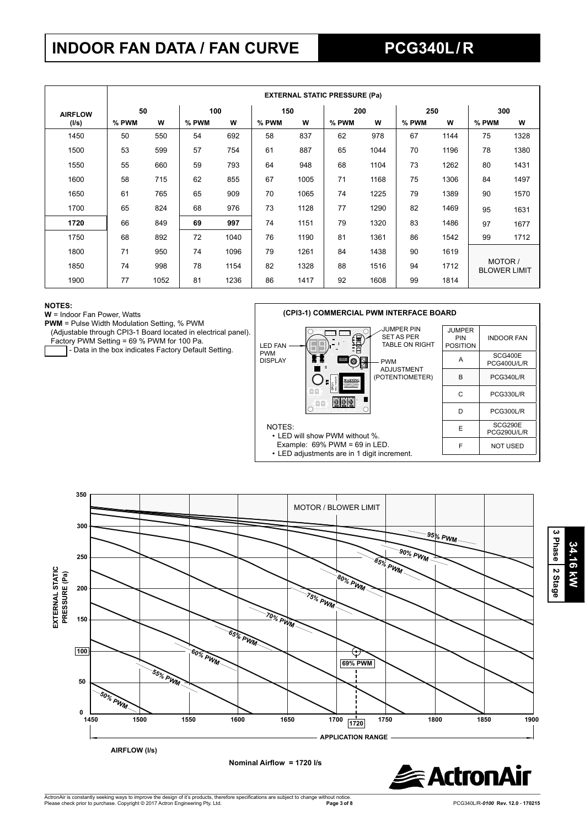## **INDOOR FAN DATA / FAN CURVE PCG340L / R**

|       |                      | <b>EXTERNAL STATIC PRESSURE (Pa)</b> |       |      |       |      |       |      |       |      |                                |      |  |  |
|-------|----------------------|--------------------------------------|-------|------|-------|------|-------|------|-------|------|--------------------------------|------|--|--|
|       | 50<br><b>AIRFLOW</b> |                                      | 100   |      |       | 150  |       | 200  |       | 250  |                                | 300  |  |  |
| (I/s) | % PWM                | W                                    | % PWM | W    | % PWM | W    | % PWM | w    | % PWM | W    | % PWM                          | w    |  |  |
| 1450  | 50                   | 550                                  | 54    | 692  | 58    | 837  | 62    | 978  | 67    | 1144 | 75                             | 1328 |  |  |
| 1500  | 53                   | 599                                  | 57    | 754  | 61    | 887  | 65    | 1044 | 70    | 1196 | 78                             | 1380 |  |  |
| 1550  | 55                   | 660                                  | 59    | 793  | 64    | 948  | 68    | 1104 | 73    | 1262 | 80                             | 1431 |  |  |
| 1600  | 58                   | 715                                  | 62    | 855  | 67    | 1005 | 71    | 1168 | 75    | 1306 | 84                             | 1497 |  |  |
| 1650  | 61                   | 765                                  | 65    | 909  | 70    | 1065 | 74    | 1225 | 79    | 1389 | 90                             | 1570 |  |  |
| 1700  | 65                   | 824                                  | 68    | 976  | 73    | 1128 | 77    | 1290 | 82    | 1469 | 95                             | 1631 |  |  |
| 1720  | 66                   | 849                                  | 69    | 997  | 74    | 1151 | 79    | 1320 | 83    | 1486 | 97                             | 1677 |  |  |
| 1750  | 68                   | 892                                  | 72    | 1040 | 76    | 1190 | 81    | 1361 | 86    | 1542 | 99                             | 1712 |  |  |
| 1800  | 71                   | 950                                  | 74    | 1096 | 79    | 1261 | 84    | 1438 | 90    | 1619 |                                |      |  |  |
| 1850  | 74                   | 998                                  | 78    | 1154 | 82    | 1328 | 88    | 1516 | 94    | 1712 | MOTOR /<br><b>BLOWER LIMIT</b> |      |  |  |
| 1900  | 77                   | 1052                                 | 81    | 1236 | 86    | 1417 | 92    | 1608 | 99    | 1814 |                                |      |  |  |

PWM

NOTES:

### **NOTES:**

**W** = Indoor Fan Power, Watts

Factory PWM Setting = 69 % PWM for 100 Pa.

- Data in the box indicates Factory Default Setting.





• LED will show PWM without %. Example: 69% PWM = 69 in LED. • LED adjustments are in 1 digit increment.





**34.16 kW**

34.16 kW

**3 Phase**

 **2 Stage**

**PWM** = Pulse Width Modulation Setting, % PWM (Adjustable through CPI3-1 Board located in electrical panel).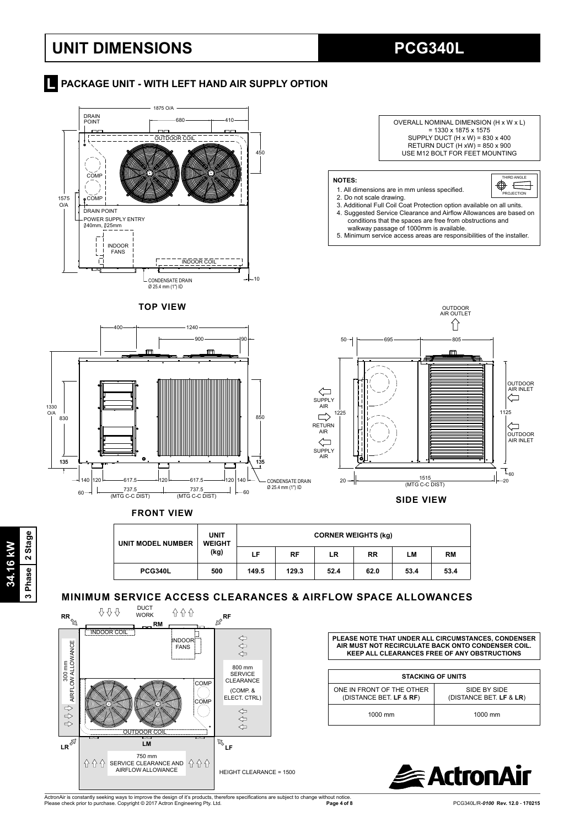## **UNIT DIMENSIONS PCG340L**

## **Report AT A PACKAGE UNIT - WITH LEFT HAND AIR SUPPLY OPTION**



### **FRONT VIEW**

| <b>UNIT MODEL NUMBER</b> | <b>UNIT</b><br><b>WEIGHT</b><br>(kg) |       | <b>CORNER WEIGHTS (kg)</b> |      |           |      |           |  |  |  |  |
|--------------------------|--------------------------------------|-------|----------------------------|------|-----------|------|-----------|--|--|--|--|
|                          |                                      | LF.   | RF                         | LR   | <b>RR</b> | LМ   | <b>RM</b> |  |  |  |  |
| <b>PCG340L</b>           | 500                                  | 149.5 | 129.3                      | 52.4 | 62.0      | 53.4 | 53.4      |  |  |  |  |

## **MINIMUM SERVICE ACCESS CLEARANCES & AIRFLOW SPACE ALLOWANCES**



**PLEASE NOTE THAT UNDER ALL CIRCUMSTANCES, CONDENSER AIR MUST NOT RECIRCULATE BACK ONTO CONDENSER COIL. KEEP ALL CLEARANCES FREE OF ANY OBSTRUCTIONS**

| <b>STACKING OF UNITS</b>                             |                                         |  |  |  |  |  |  |
|------------------------------------------------------|-----------------------------------------|--|--|--|--|--|--|
| ONE IN FRONT OF THE OTHER<br>(DISTANCE BET. LF & RF) | SIDE BY SIDE<br>(DISTANCE BET. LF & LR) |  |  |  |  |  |  |
| 1000 mm                                              | 1000 mm                                 |  |  |  |  |  |  |

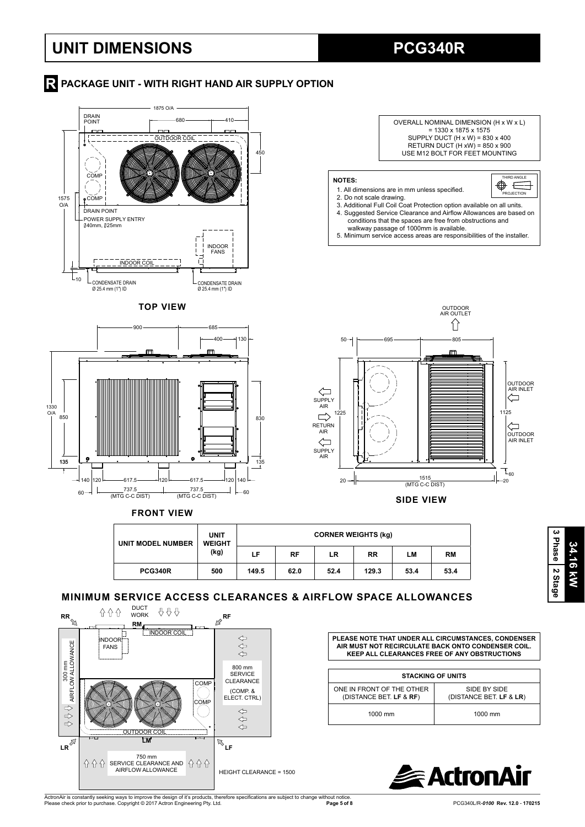## **UNIT DIMENSIONS PCG340R**

## **R** PACKAGE UNIT - WITH RIGHT HAND AIR SUPPLY OPTION







**SIDE VIEW**

### **UNIT MODEL NUMBER UNIT WEIGHT (kg) CORNER WEIGHTS (kg) LF RF LR RR LM RM PCG340R 500 149.5 62.0 52.4 129.3 53.4 53.4**

## **MINIMUM SERVICE ACCESS CLEARANCES & AIRFLOW SPACE ALLOWANCES**



**PLEASE NOTE THAT UNDER ALL CIRCUMSTANCES, CONDENSER AIR MUST NOT RECIRCULATE BACK ONTO CONDENSER COIL. KEEP ALL CLEARANCES FREE OF ANY OBSTRUCTIONS**

| <b>STACKING OF UNITS</b>                             |                                         |  |  |  |  |  |  |  |
|------------------------------------------------------|-----------------------------------------|--|--|--|--|--|--|--|
| ONE IN FRONT OF THE OTHER<br>(DISTANCE BET. LF & RF) | SIDE BY SIDE<br>(DISTANCE BET. LF & LR) |  |  |  |  |  |  |  |
| 1000 mm                                              | $1000$ mm                               |  |  |  |  |  |  |  |



ActronAir is constantly seeking ways to improve the design of it's products, therefore specifications are subject to change without notice.<br>Please check prior to purchase. Copyright © 2017 Actron Engineering Pty. Ltd. Please check prior to purchase. Copyright © 2017 Actron Engineering Pty. Ltd.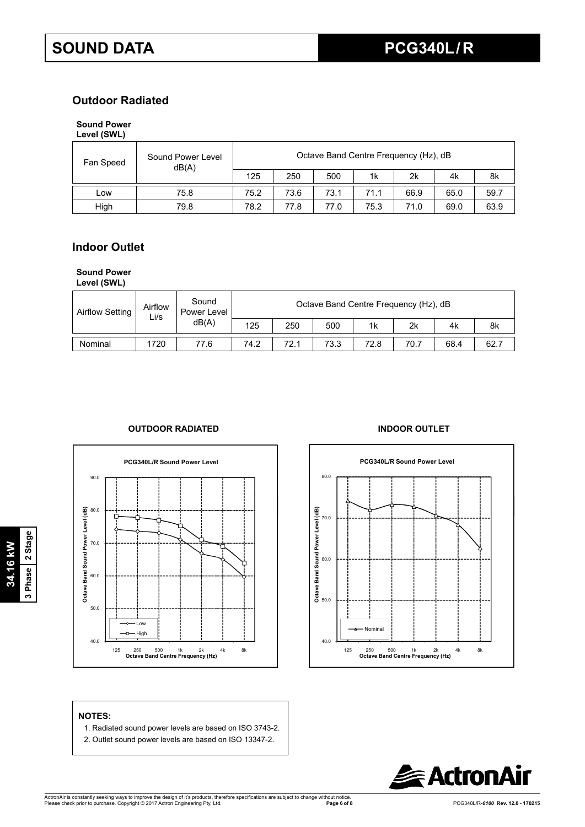## **Outdoor Radiated**

## **Sound Power**

| Level (SWL) |  |
|-------------|--|
|-------------|--|

| Fan Speed | Sound Power Level<br>dB(A) | Octave Band Centre Frequency (Hz), dB |      |      |      |      |      |      |  |  |
|-----------|----------------------------|---------------------------------------|------|------|------|------|------|------|--|--|
|           |                            | 125                                   | 250  | 500  | 1k   | 2k   | 4k   | 8k   |  |  |
| Low       | 75.8                       | 75.2                                  | 73.6 | 73.1 | 71.1 | 66.9 | 65.0 | 59.7 |  |  |
| High      | 79.8                       | 78.2                                  | 77.8 | 77.0 | 75.3 | 71.0 | 69.0 | 63.9 |  |  |

## **Indoor Outlet**

## **Sound Power**

**Level (SWL)**

| <b>Airflow Setting</b> | Airflow<br>∟i/s | Sound<br>Power Level<br>dB(A) |      | Octave Band Centre Frequency (Hz), dB |      |                |      |      |      |  |  |  |  |
|------------------------|-----------------|-------------------------------|------|---------------------------------------|------|----------------|------|------|------|--|--|--|--|
|                        |                 |                               | 125  | 250                                   | 500  | 1 <sub>k</sub> | 2k   | 4k   | 8k   |  |  |  |  |
| Nominal                | 1720            | 77.6                          | 74.2 | 72.1                                  | 73.3 | 72.8           | 70.7 | 68.4 | 62.7 |  |  |  |  |

## **OUTDOOR RADIATED INDOOR OUTLET**





## **NOTES:**

- 1. Radiated sound power levels are based on ISO 3743-2.
- 2. Outlet sound power levels are based on ISO 13347-2.



**34.16 kW 3 Phase 2 Stage**

3 Phase 2 Stage 34.16 kW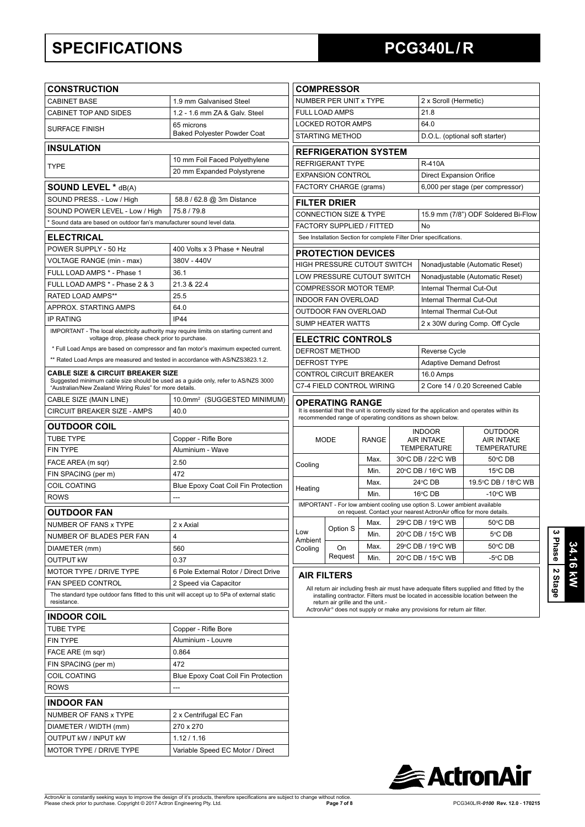## **SPECIFICATIONS PCG340L / R**

| <b>CONSTRUCTION</b>                                                                                                                                                                          |                                                                                    | <b>COMPRESSOR</b>                              |                                                                 |              |  |                                                                           |                                                                                                                                                                               |  |
|----------------------------------------------------------------------------------------------------------------------------------------------------------------------------------------------|------------------------------------------------------------------------------------|------------------------------------------------|-----------------------------------------------------------------|--------------|--|---------------------------------------------------------------------------|-------------------------------------------------------------------------------------------------------------------------------------------------------------------------------|--|
| <b>CABINET BASE</b>                                                                                                                                                                          | 1.9 mm Galvanised Steel                                                            |                                                | NUMBER PER UNIT x TYPE                                          |              |  | 2 x Scroll (Hermetic)                                                     |                                                                                                                                                                               |  |
| <b>CABINET TOP AND SIDES</b>                                                                                                                                                                 | 1.2 - 1.6 mm ZA & Galv. Steel                                                      |                                                | FULL LOAD AMPS                                                  |              |  | 21.8                                                                      |                                                                                                                                                                               |  |
| <b>SURFACE FINISH</b>                                                                                                                                                                        | 65 microns                                                                         |                                                | <b>LOCKED ROTOR AMPS</b>                                        |              |  | 64.0                                                                      |                                                                                                                                                                               |  |
|                                                                                                                                                                                              | <b>Baked Polyester Powder Coat</b>                                                 |                                                | STARTING METHOD                                                 |              |  |                                                                           | D.O.L. (optional soft starter)                                                                                                                                                |  |
| <b>INSULATION</b>                                                                                                                                                                            |                                                                                    |                                                | <b>REFRIGERATION SYSTEM</b>                                     |              |  |                                                                           |                                                                                                                                                                               |  |
| <b>TYPE</b>                                                                                                                                                                                  | 10 mm Foil Faced Polyethylene                                                      |                                                | REFRIGERANT TYPE                                                |              |  | <b>R-410A</b>                                                             |                                                                                                                                                                               |  |
|                                                                                                                                                                                              | 20 mm Expanded Polystyrene                                                         |                                                | <b>EXPANSION CONTROL</b>                                        |              |  | <b>Direct Expansion Orifice</b>                                           |                                                                                                                                                                               |  |
| <b>SOUND LEVEL * dB(A)</b>                                                                                                                                                                   |                                                                                    |                                                | FACTORY CHARGE (grams)                                          |              |  |                                                                           | 6,000 per stage (per compressor)                                                                                                                                              |  |
| SOUND PRESS. - Low / High                                                                                                                                                                    | 58.8 / 62.8 @ 3m Distance                                                          |                                                | <b>FILTER DRIER</b>                                             |              |  |                                                                           |                                                                                                                                                                               |  |
| SOUND POWER LEVEL - Low / High                                                                                                                                                               | 75.8 / 79.8                                                                        |                                                | CONNECTION SIZE & TYPE                                          |              |  |                                                                           | 15.9 mm (7/8") ODF Soldered Bi-Flow                                                                                                                                           |  |
| * Sound data are based on outdoor fan's manufacturer sound level data.                                                                                                                       |                                                                                    |                                                | FACTORY SUPPLIED / FITTED                                       |              |  | No                                                                        |                                                                                                                                                                               |  |
| <b>ELECTRICAL</b>                                                                                                                                                                            |                                                                                    |                                                |                                                                 |              |  | See Installation Section for complete Filter Drier specifications.        |                                                                                                                                                                               |  |
| POWER SUPPLY - 50 Hz                                                                                                                                                                         | 400 Volts x 3 Phase + Neutral                                                      |                                                |                                                                 |              |  |                                                                           |                                                                                                                                                                               |  |
| VOLTAGE RANGE (min - max)                                                                                                                                                                    | 380V - 440V                                                                        |                                                | <b>PROTECTION DEVICES</b><br><b>HIGH PRESSURE CUTOUT SWITCH</b> |              |  |                                                                           | Nonadjustable (Automatic Reset)                                                                                                                                               |  |
| FULL LOAD AMPS * - Phase 1                                                                                                                                                                   | 36.1                                                                               |                                                | LOW PRESSURE CUTOUT SWITCH                                      |              |  |                                                                           | Nonadjustable (Automatic Reset)                                                                                                                                               |  |
| FULL LOAD AMPS * - Phase 2 & 3                                                                                                                                                               | 21.3 & 22.4                                                                        |                                                | COMPRESSOR MOTOR TEMP.                                          |              |  | <b>Internal Thermal Cut-Out</b>                                           |                                                                                                                                                                               |  |
| RATED LOAD AMPS**                                                                                                                                                                            | 25.5                                                                               |                                                | INDOOR FAN OVERLOAD                                             |              |  | Internal Thermal Cut-Out                                                  |                                                                                                                                                                               |  |
| APPROX. STARTING AMPS                                                                                                                                                                        | 64.0                                                                               |                                                | OUTDOOR FAN OVERLOAD                                            |              |  | Internal Thermal Cut-Out                                                  |                                                                                                                                                                               |  |
| <b>IP RATING</b>                                                                                                                                                                             | IP44                                                                               |                                                | <b>SUMP HEATER WATTS</b>                                        |              |  |                                                                           | 2 x 30W during Comp. Off Cycle                                                                                                                                                |  |
| IMPORTANT - The local electricity authority may require limits on starting current and                                                                                                       |                                                                                    |                                                |                                                                 |              |  |                                                                           |                                                                                                                                                                               |  |
| voltage drop, please check prior to purchase.                                                                                                                                                | * Full Load Amps are based on compressor and fan motor's maximum expected current. |                                                | <b>ELECTRIC CONTROLS</b>                                        |              |  |                                                                           |                                                                                                                                                                               |  |
| ** Rated Load Amps are measured and tested in accordance with AS/NZS3823.1.2.                                                                                                                |                                                                                    | <b>DEFROST METHOD</b>                          |                                                                 |              |  | Reverse Cycle                                                             |                                                                                                                                                                               |  |
|                                                                                                                                                                                              |                                                                                    | <b>DEFROST TYPE</b><br>CONTROL CIRCUIT BREAKER |                                                                 |              |  | <b>Adaptive Demand Defrost</b>                                            |                                                                                                                                                                               |  |
| <b>CABLE SIZE &amp; CIRCUIT BREAKER SIZE</b><br>Suggested minimum cable size should be used as a guide only, refer to AS/NZS 3000<br>"Australian/New Zealand Wiring Rules" for more details. |                                                                                    |                                                | C7-4 FIELD CONTROL WIRING                                       |              |  | 16.0 Amps                                                                 | 2 Core 14 / 0.20 Screened Cable                                                                                                                                               |  |
| CABLE SIZE (MAIN LINE)                                                                                                                                                                       | 10.0mm <sup>2</sup> (SUGGESTED MINIMUM)                                            |                                                | <b>OPERATING RANGE</b>                                          |              |  |                                                                           |                                                                                                                                                                               |  |
| CIRCUIT BREAKER SIZE - AMPS                                                                                                                                                                  | 40.0                                                                               |                                                |                                                                 |              |  |                                                                           | It is essential that the unit is correctly sized for the application and operates within its                                                                                  |  |
| <b>OUTDOOR COIL</b>                                                                                                                                                                          |                                                                                    |                                                |                                                                 |              |  | recommended range of operating conditions as shown below.                 |                                                                                                                                                                               |  |
| <b>TUBE TYPE</b>                                                                                                                                                                             | Copper - Rifle Bore                                                                |                                                | <b>MODE</b>                                                     | <b>RANGE</b> |  | <b>INDOOR</b><br><b>AIR INTAKE</b>                                        | <b>OUTDOOR</b><br><b>AIR INTAKE</b>                                                                                                                                           |  |
| <b>FIN TYPE</b>                                                                                                                                                                              | Aluminium - Wave                                                                   |                                                |                                                                 |              |  | <b>TEMPERATURE</b>                                                        | <b>TEMPERATURE</b>                                                                                                                                                            |  |
| FACE AREA (m sqr)                                                                                                                                                                            | 2.50                                                                               | Cooling                                        |                                                                 | Max.         |  | 30°C DB / 22°C WB                                                         | 50°C DB                                                                                                                                                                       |  |
| FIN SPACING (per m)                                                                                                                                                                          | 472                                                                                |                                                |                                                                 | Min.         |  | 20°C DB / 16°C WB                                                         | 15°C DB                                                                                                                                                                       |  |
| <b>COIL COATING</b>                                                                                                                                                                          | Blue Epoxy Coat Coil Fin Protection                                                | Heating                                        |                                                                 | Max.         |  | 24°C DB                                                                   | 19.5°C DB / 18°C WB                                                                                                                                                           |  |
| <b>ROWS</b>                                                                                                                                                                                  | ---                                                                                |                                                |                                                                 | Min.         |  | $16^{\circ}$ CDB                                                          | $-10^{\circ}$ C WB                                                                                                                                                            |  |
| <b>OUTDOOR FAN</b>                                                                                                                                                                           |                                                                                    |                                                |                                                                 |              |  | IMPORTANT - For low ambient cooling use option S. Lower ambient available | on request. Contact your nearest ActronAir office for more details.                                                                                                           |  |
| NUMBER OF FANS x TYPE                                                                                                                                                                        | 2 x Axial                                                                          |                                                |                                                                 | Max.         |  | 29°C DB / 19°C WB                                                         | 50°C DB                                                                                                                                                                       |  |
| NUMBER OF BLADES PER FAN                                                                                                                                                                     | $\overline{4}$                                                                     | Low                                            | Option S                                                        | Min.         |  | 20°C DB / 15°C WB                                                         | 5°C DB                                                                                                                                                                        |  |
| DIAMETER (mm)                                                                                                                                                                                | 560                                                                                | Ambient<br>Cooling                             | On                                                              | Max.         |  | 29°C DB / 19°C WB                                                         | 50°C DB                                                                                                                                                                       |  |
| <b>OUTPUT KW</b>                                                                                                                                                                             | 0.37                                                                               |                                                | Request                                                         | Min.         |  | 20°C DB / 15°C WB                                                         | $-5^{\circ}$ C DB                                                                                                                                                             |  |
| MOTOR TYPE / DRIVE TYPE                                                                                                                                                                      | 6 Pole External Rotor / Direct Drive                                               |                                                |                                                                 |              |  |                                                                           |                                                                                                                                                                               |  |
| FAN SPEED CONTROL                                                                                                                                                                            | 2 Speed via Capacitor                                                              |                                                | <b>AIR FILTERS</b>                                              |              |  |                                                                           |                                                                                                                                                                               |  |
| The standard type outdoor fans fitted to this unit will accept up to 5Pa of external static<br>resistance.                                                                                   |                                                                                    |                                                | return air grille and the unit.-                                |              |  |                                                                           | All return air including fresh air must have adequate filters supplied and fitted by the<br>installing contractor. Filters must be located in accessible location between the |  |
| <b>INDOOR COIL</b>                                                                                                                                                                           |                                                                                    |                                                |                                                                 |              |  | ActronAir® does not supply or make any provisions for return air filter.  |                                                                                                                                                                               |  |
| <b>TUBE TYPE</b>                                                                                                                                                                             | Copper - Rifle Bore                                                                |                                                |                                                                 |              |  |                                                                           |                                                                                                                                                                               |  |
| <b>FIN TYPE</b>                                                                                                                                                                              | Aluminium - Louvre                                                                 |                                                |                                                                 |              |  |                                                                           |                                                                                                                                                                               |  |
| FACE ARE (m sqr)                                                                                                                                                                             | 0.864                                                                              |                                                |                                                                 |              |  |                                                                           |                                                                                                                                                                               |  |
| FIN SPACING (per m)                                                                                                                                                                          | 472                                                                                |                                                |                                                                 |              |  |                                                                           |                                                                                                                                                                               |  |
| COIL COATING                                                                                                                                                                                 | Blue Epoxy Coat Coil Fin Protection                                                |                                                |                                                                 |              |  |                                                                           |                                                                                                                                                                               |  |
| <b>ROWS</b>                                                                                                                                                                                  | ---                                                                                |                                                |                                                                 |              |  |                                                                           |                                                                                                                                                                               |  |
|                                                                                                                                                                                              |                                                                                    |                                                |                                                                 |              |  |                                                                           |                                                                                                                                                                               |  |
| <b>INDOOR FAN</b>                                                                                                                                                                            |                                                                                    |                                                |                                                                 |              |  |                                                                           |                                                                                                                                                                               |  |
| NUMBER OF FANS x TYPE                                                                                                                                                                        | 2 x Centrifugal EC Fan                                                             |                                                |                                                                 |              |  |                                                                           |                                                                                                                                                                               |  |
| DIAMETER / WIDTH (mm)                                                                                                                                                                        | 270 x 270                                                                          |                                                |                                                                 |              |  |                                                                           |                                                                                                                                                                               |  |
| OUTPUT kW / INPUT kW                                                                                                                                                                         | 1.12 / 1.16                                                                        |                                                |                                                                 |              |  |                                                                           |                                                                                                                                                                               |  |
| MOTOR TYPE / DRIVE TYPE                                                                                                                                                                      | Variable Speed EC Motor / Direct                                                   |                                                |                                                                 |              |  |                                                                           |                                                                                                                                                                               |  |